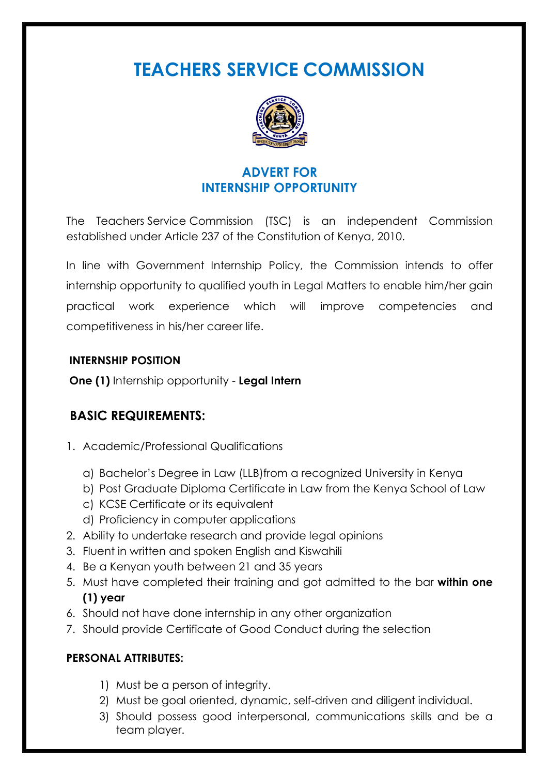**TEACHERS SERVICE COMMISSION**



# **ADVERT FOR INTERNSHIP OPPORTUNITY**

The Teachers Service Commission (TSC) is an independent Commission established under Article 237 of the Constitution of Kenya, 2010.

In line with Government Internship Policy, the Commission intends to offer internship opportunity to qualified youth in Legal Matters to enable him/her gain practical work experience which will improve competencies and competitiveness in his/her career life.

### **INTERNSHIP POSITION**

**One (1)** Internship opportunity - **Legal Intern**

## **BASIC REQUIREMENTS:**

- 1. Academic/Professional Qualifications
	- a) Bachelor's Degree in Law (LLB)from a recognized University in Kenya
	- b) Post Graduate Diploma Certificate in Law from the Kenya School of Law
	- c) KCSE Certificate or its equivalent
	- d) Proficiency in computer applications
- 2. Ability to undertake research and provide legal opinions
- 3. Fluent in written and spoken English and Kiswahili
- 4. Be a Kenyan youth between 21 and 35 years
- 5. Must have completed their training and got admitted to the bar **within one (1) year**
- 6. Should not have done internship in any other organization
- 7. Should provide Certificate of Good Conduct during the selection

### **PERSONAL ATTRIBUTES:**

- 1) Must be a person of integrity.
- 2) Must be goal oriented, dynamic, self-driven and diligent individual.
- 3) Should possess good interpersonal, communications skills and be a team player.